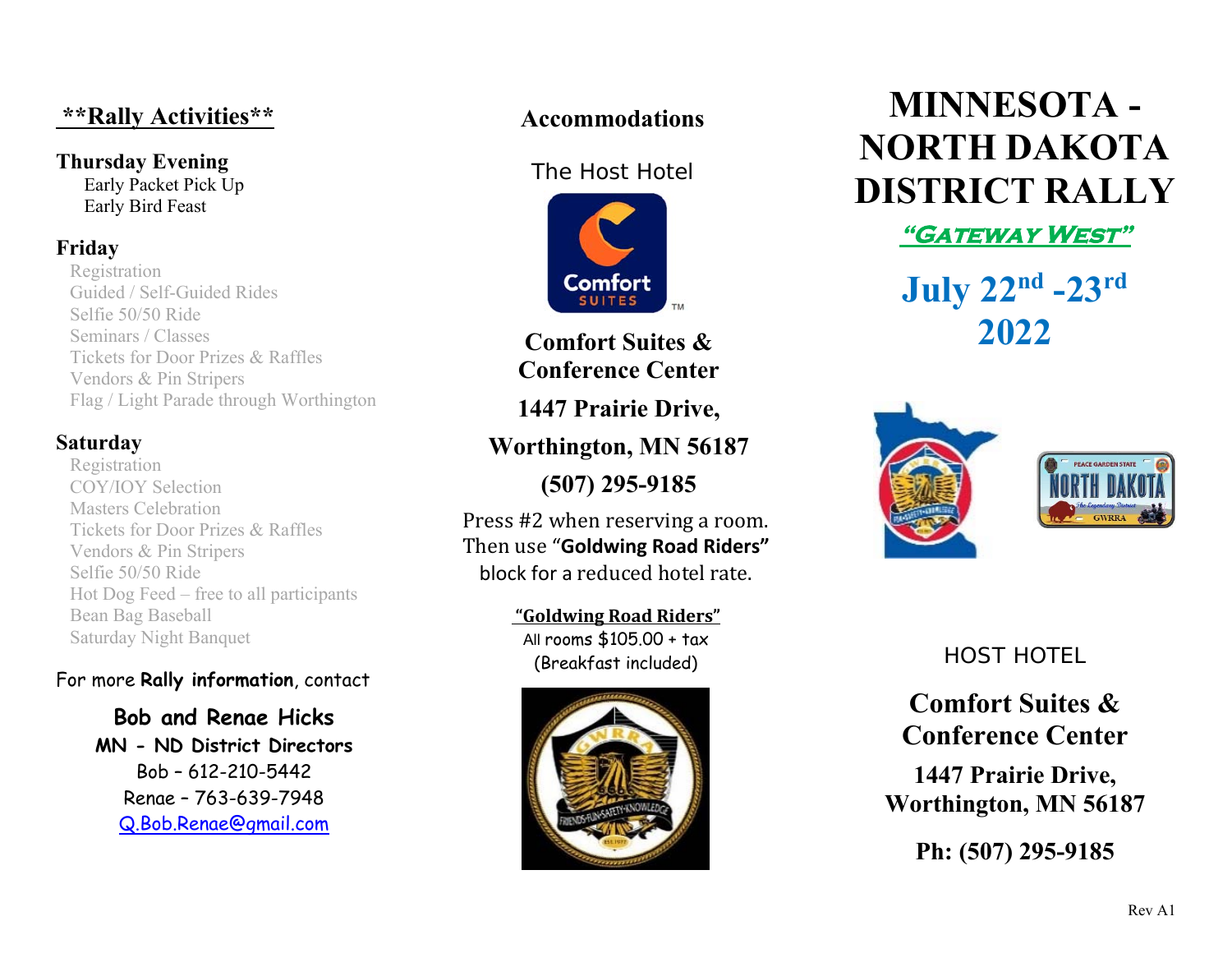# **\*\*Rally Activities\*\***

#### **Thursday Evening**  Early Packet Pick Up Early Bird Feast

### **Friday**

Registration Guided / Self-Guided Rides Selfie 50/50 Ride Seminars / Classes Tickets for Door Prizes & Raffles Vendors & Pin Stripers Flag / Light Parade through Worthington

#### **Saturday**

Registration COY/IOY Selection Masters Celebration Tickets for Door Prizes & Raffles Vendors & Pin Stripers Selfie 50/50 Ride Hot Dog Feed – free to all participants Bean Bag Baseball Saturday Night Banquet

#### For more **Rally information**, contact

**Bob and Renae Hicks MN - ND District Directors**  Bob – 612-210-5442 Renae – 763-639-7948 Q.Bob.Renae@gmail.com

## **Accommodations**

#### The Host Hotel



**Comfort Suites & Conference Center** 

**1447 Prairie Drive,** 

**Worthington, MN 56187** 

**(507) 295-9185** 

Press #2 when reserving a room. Then use "**Goldwing Road Riders"** block for a reduced hotel rate.

> **"Goldwing Road Riders"** All rooms \$105.00 + tax (Breakfast included)



# **MINNESOTA - NORTH DAKOTA DISTRICT RALLY**

**"Gateway West"** 

**July 22nd -23rd 2022**



# HOST HOTEL

**Comfort Suites & Conference Center** 

**1447 Prairie Drive, Worthington, MN 56187** 

**Ph: (507) 295-9185**